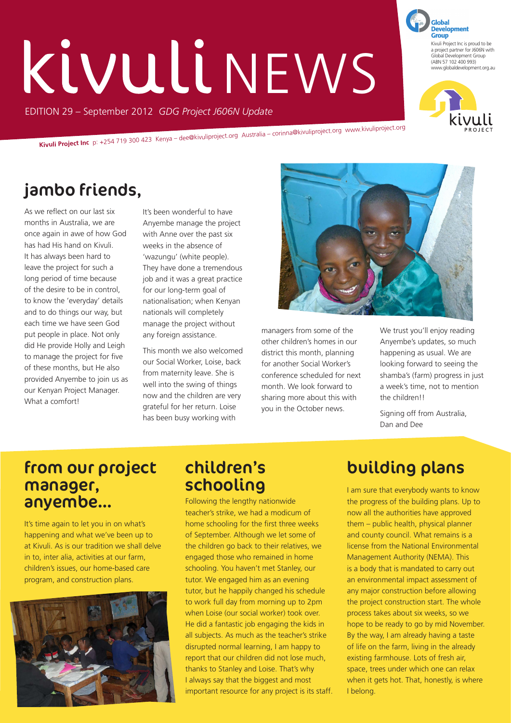# KIVULLI NEWS

EDITION 29 – September 2012 *GDG Project J606N Update*

**Kivuli Project Inc** p: +254 719 300 423 Kenya – dee@kivuliproject.org Australia – corinna@kivuliproject.org www.kivuliproject.org

# jambo friends,

As we reflect on our last six months in Australia, we are once again in awe of how God has had His hand on Kivuli. It has always been hard to leave the project for such a long period of time because of the desire to be in control, to know the 'everyday' details and to do things our way, but each time we have seen God put people in place. Not only did He provide Holly and Leigh to manage the project for five of these months, but He also provided Anyembe to join us as our Kenyan Project Manager. What a comfort!

It's been wonderful to have Anyembe manage the project with Anne over the past six weeks in the absence of 'wazungu' (white people). They have done a tremendous job and it was a great practice for our long-term goal of nationalisation; when Kenyan nationals will completely manage the project without any foreign assistance.

This month we also welcomed our Social Worker, Loise, back from maternity leave. She is well into the swing of things now and the children are very grateful for her return. Loise has been busy working with



managers from some of the other children's homes in our district this month, planning for another Social Worker's conference scheduled for next month. We look forward to sharing more about this with you in the October news.

We trust you'll enjoy reading Anyembe's updates, so much happening as usual. We are looking forward to seeing the shamba's (farm) progress in just a week's time, not to mention the children!!

Signing off from Australia, Dan and Dee

#### from our project manager, anyembe…

It's time again to let you in on what's happening and what we've been up to at Kivuli. As is our tradition we shall delve in to, inter alia, activities at our farm, children's issues, our home-based care program, and construction plans.



### children's schooling

Following the lengthy nationwide teacher's strike, we had a modicum of home schooling for the first three weeks of September. Although we let some of the children go back to their relatives, we engaged those who remained in home schooling. You haven't met Stanley, our tutor. We engaged him as an evening tutor, but he happily changed his schedule to work full day from morning up to 2pm when Loise (our social worker) took over. He did a fantastic job engaging the kids in all subjects. As much as the teacher's strike disrupted normal learning, I am happy to report that our children did not lose much, thanks to Stanley and Loise. That's why I always say that the biggest and most important resource for any project is its staff.

# building plans

I am sure that everybody wants to know the progress of the building plans. Up to now all the authorities have approved them – public health, physical planner and county council. What remains is a license from the National Environmental Management Authority (NEMA). This is a body that is mandated to carry out an environmental impact assessment of any major construction before allowing the project construction start. The whole process takes about six weeks, so we hope to be ready to go by mid November. By the way, I am already having a taste of life on the farm, living in the already existing farmhouse. Lots of fresh air, space, trees under which one can relax when it gets hot. That, honestly, is where I belong.